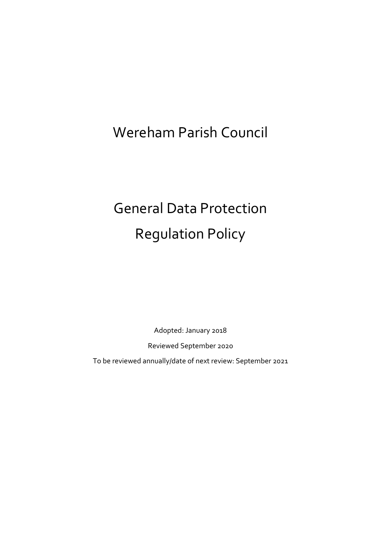# Wereham Parish Council

# General Data Protection Regulation Policy

Adopted: January 2018

Reviewed September 2020

To be reviewed annually/date of next review: September 2021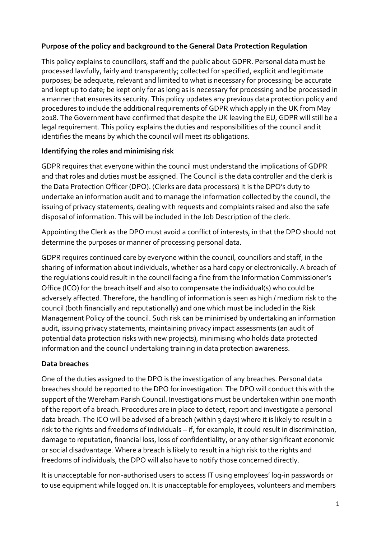#### **Purpose of the policy and background to the General Data Protection Regulation**

This policy explains to councillors, staff and the public about GDPR. Personal data must be processed lawfully, fairly and transparently; collected for specified, explicit and legitimate purposes; be adequate, relevant and limited to what is necessary for processing; be accurate and kept up to date; be kept only for as long as is necessary for processing and be processed in a manner that ensures its security. This policy updates any previous data protection policy and procedures to include the additional requirements of GDPR which apply in the UK from May 2018. The Government have confirmed that despite the UK leaving the EU, GDPR will still be a legal requirement. This policy explains the duties and responsibilities of the council and it identifies the means by which the council will meet its obligations.

## **Identifying the roles and minimising risk**

GDPR requires that everyone within the council must understand the implications of GDPR and that roles and duties must be assigned. The Council is the data controller and the clerk is the Data Protection Officer (DPO). (Clerks are data processors) It is the DPO's duty to undertake an information audit and to manage the information collected by the council, the issuing of privacy statements, dealing with requests and complaints raised and also the safe disposal of information. This will be included in the Job Description of the clerk.

Appointing the Clerk as the DPO must avoid a conflict of interests, in that the DPO should not determine the purposes or manner of processing personal data.

GDPR requires continued care by everyone within the council, councillors and staff, in the sharing of information about individuals, whether as a hard copy or electronically. A breach of the regulations could result in the council facing a fine from the Information Commissioner's Office (ICO) for the breach itself and also to compensate the individual(s) who could be adversely affected. Therefore, the handling of information is seen as high / medium risk to the council (both financially and reputationally) and one which must be included in the Risk Management Policy of the council. Such risk can be minimised by undertaking an information audit, issuing privacy statements, maintaining privacy impact assessments (an audit of potential data protection risks with new projects), minimising who holds data protected information and the council undertaking training in data protection awareness.

# **Data breaches**

One of the duties assigned to the DPO is the investigation of any breaches. Personal data breaches should be reported to the DPO for investigation. The DPO will conduct this with the support of the Wereham Parish Council. Investigations must be undertaken within one month of the report of a breach. Procedures are in place to detect, report and investigate a personal data breach. The ICO will be advised of a breach (within 3 days) where it is likely to result in a risk to the rights and freedoms of individuals – if, for example, it could result in discrimination, damage to reputation, financial loss, loss of confidentiality, or any other significant economic or social disadvantage. Where a breach is likely to result in a high risk to the rights and freedoms of individuals, the DPO will also have to notify those concerned directly.

It is unacceptable for non-authorised users to access IT using employees' log-in passwords or to use equipment while logged on. It is unacceptable for employees, volunteers and members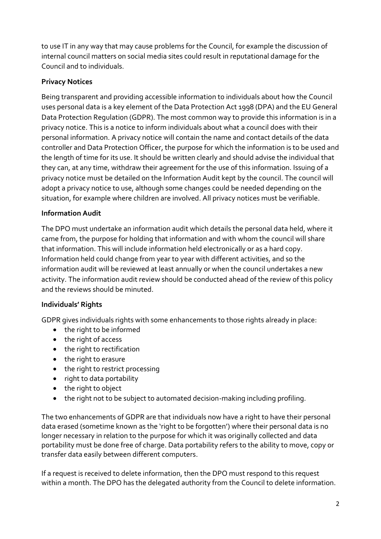to use IT in any way that may cause problems for the Council, for example the discussion of internal council matters on social media sites could result in reputational damage for the Council and to individuals.

# **Privacy Notices**

Being transparent and providing accessible information to individuals about how the Council uses personal data is a key element of the Data Protection Act 1998 (DPA) and the EU General Data Protection Regulation (GDPR). The most common way to provide this information is in a privacy notice. This is a notice to inform individuals about what a council does with their personal information. A privacy notice will contain the name and contact details of the data controller and Data Protection Officer, the purpose for which the information is to be used and the length of time for its use. It should be written clearly and should advise the individual that they can, at any time, withdraw their agreement for the use of this information. Issuing of a privacy notice must be detailed on the Information Audit kept by the council. The council will adopt a privacy notice to use, although some changes could be needed depending on the situation, for example where children are involved. All privacy notices must be verifiable.

## **Information Audit**

The DPO must undertake an information audit which details the personal data held, where it came from, the purpose for holding that information and with whom the council will share that information. This will include information held electronically or as a hard copy. Information held could change from year to year with different activities, and so the information audit will be reviewed at least annually or when the council undertakes a new activity. The information audit review should be conducted ahead of the review of this policy and the reviews should be minuted.

#### **Individuals' Rights**

GDPR gives individuals rights with some enhancements to those rights already in place:

- the right to be informed
- the right of access
- the right to rectification
- the right to erasure
- the right to restrict processing
- right to data portability
- the right to object
- the right not to be subject to automated decision-making including profiling.

The two enhancements of GDPR are that individuals now have a right to have their personal data erased (sometime known as the 'right to be forgotten') where their personal data is no longer necessary in relation to the purpose for which it was originally collected and data portability must be done free of charge. Data portability refers to the ability to move, copy or transfer data easily between different computers.

If a request is received to delete information, then the DPO must respond to this request within a month. The DPO has the delegated authority from the Council to delete information.